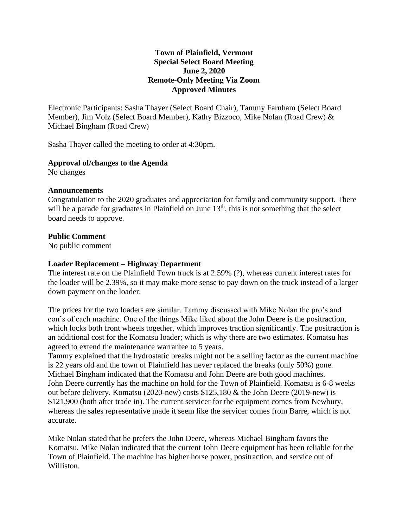## **Town of Plainfield, Vermont Special Select Board Meeting June 2, 2020 Remote-Only Meeting Via Zoom Approved Minutes**

Electronic Participants: Sasha Thayer (Select Board Chair), Tammy Farnham (Select Board Member), Jim Volz (Select Board Member), Kathy Bizzoco, Mike Nolan (Road Crew) & Michael Bingham (Road Crew)

Sasha Thayer called the meeting to order at 4:30pm.

## **Approval of/changes to the Agenda**

No changes

#### **Announcements**

Congratulation to the 2020 graduates and appreciation for family and community support. There will be a parade for graduates in Plainfield on June 13<sup>th</sup>, this is not something that the select board needs to approve.

## **Public Comment**

No public comment

# **Loader Replacement – Highway Department**

The interest rate on the Plainfield Town truck is at 2.59% (?), whereas current interest rates for the loader will be 2.39%, so it may make more sense to pay down on the truck instead of a larger down payment on the loader.

The prices for the two loaders are similar. Tammy discussed with Mike Nolan the pro's and con's of each machine. One of the things Mike liked about the John Deere is the positraction, which locks both front wheels together, which improves traction significantly. The positraction is an additional cost for the Komatsu loader; which is why there are two estimates. Komatsu has agreed to extend the maintenance warrantee to 5 years.

Tammy explained that the hydrostatic breaks might not be a selling factor as the current machine is 22 years old and the town of Plainfield has never replaced the breaks (only 50%) gone. Michael Bingham indicated that the Komatsu and John Deere are both good machines. John Deere currently has the machine on hold for the Town of Plainfield. Komatsu is 6-8 weeks out before delivery. Komatsu (2020-new) costs \$125,180 & the John Deere (2019-new) is \$121,900 (both after trade in). The current servicer for the equipment comes from Newbury, whereas the sales representative made it seem like the servicer comes from Barre, which is not accurate.

Mike Nolan stated that he prefers the John Deere, whereas Michael Bingham favors the Komatsu. Mike Nolan indicated that the current John Deere equipment has been reliable for the Town of Plainfield. The machine has higher horse power, positraction, and service out of Williston.